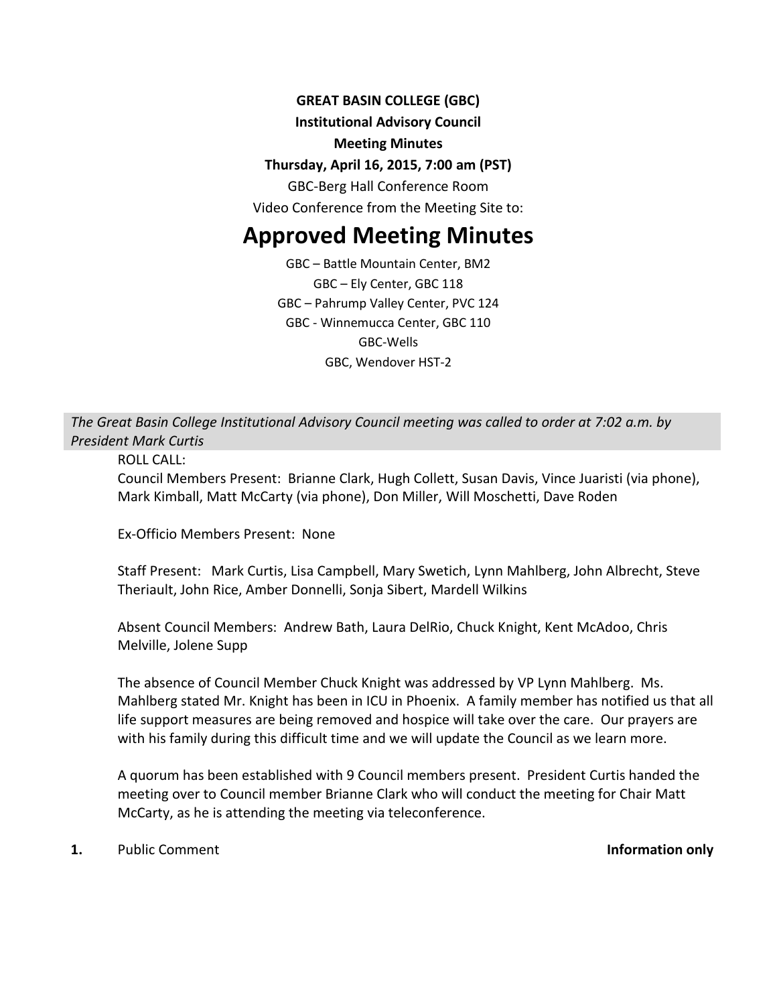# **GREAT BASIN COLLEGE (GBC)**

## **Institutional Advisory Council**

## **Meeting Minutes**

# **Thursday, April 16, 2015, 7:00 am (PST)**

GBC-Berg Hall Conference Room

Video Conference from the Meeting Site to:

# **Approved Meeting Minutes**

GBC – Battle Mountain Center, BM2 GBC – Ely Center, GBC 118 GBC – Pahrump Valley Center, PVC 124 GBC - Winnemucca Center, GBC 110 GBC-Wells GBC, Wendover HST-2

*The Great Basin College Institutional Advisory Council meeting was called to order at 7:02 a.m. by President Mark Curtis*

ROLL CALL:

Council Members Present: Brianne Clark, Hugh Collett, Susan Davis, Vince Juaristi (via phone), Mark Kimball, Matt McCarty (via phone), Don Miller, Will Moschetti, Dave Roden

Ex-Officio Members Present: None

Staff Present: Mark Curtis, Lisa Campbell, Mary Swetich, Lynn Mahlberg, John Albrecht, Steve Theriault, John Rice, Amber Donnelli, Sonja Sibert, Mardell Wilkins

Absent Council Members: Andrew Bath, Laura DelRio, Chuck Knight, Kent McAdoo, Chris Melville, Jolene Supp

The absence of Council Member Chuck Knight was addressed by VP Lynn Mahlberg. Ms. Mahlberg stated Mr. Knight has been in ICU in Phoenix. A family member has notified us that all life support measures are being removed and hospice will take over the care. Our prayers are with his family during this difficult time and we will update the Council as we learn more.

A quorum has been established with 9 Council members present. President Curtis handed the meeting over to Council member Brianne Clark who will conduct the meeting for Chair Matt McCarty, as he is attending the meeting via teleconference.

**1.** Public Comment **Information only**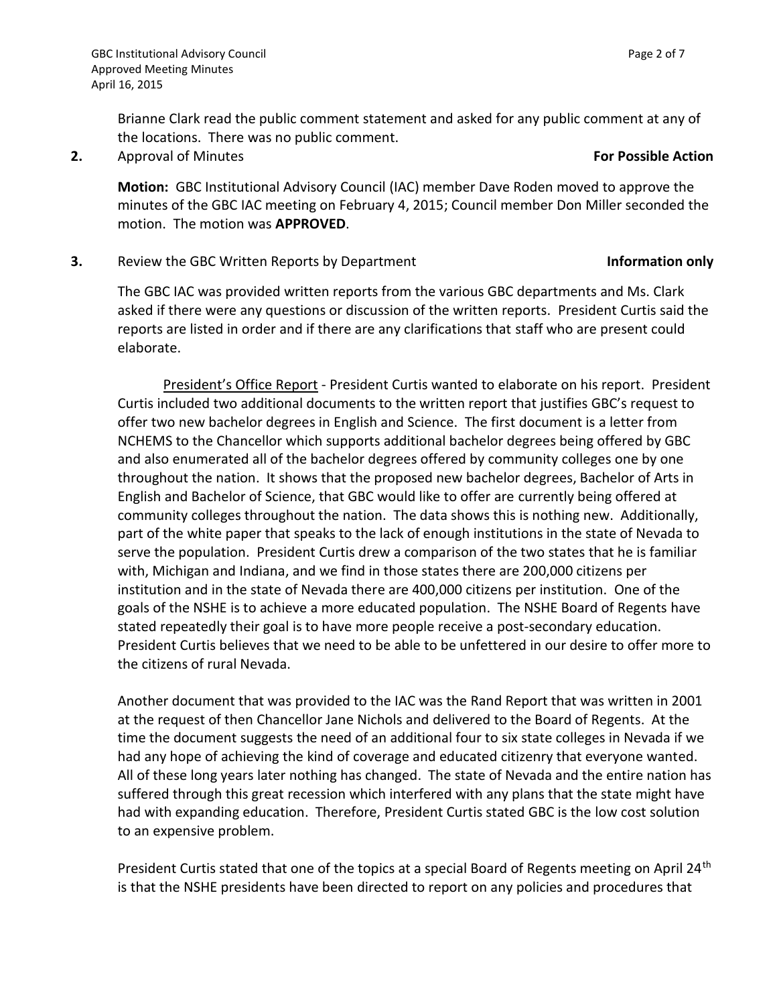Brianne Clark read the public comment statement and asked for any public comment at any of the locations. There was no public comment.

**2.** Approval of Minutes **For Possible Action**

**Motion:** GBC Institutional Advisory Council (IAC) member Dave Roden moved to approve the minutes of the GBC IAC meeting on February 4, 2015; Council member Don Miller seconded the motion. The motion was **APPROVED**.

**3.** Review the GBC Written Reports by Department **Information only** 

The GBC IAC was provided written reports from the various GBC departments and Ms. Clark asked if there were any questions or discussion of the written reports. President Curtis said the reports are listed in order and if there are any clarifications that staff who are present could elaborate.

President's Office Report - President Curtis wanted to elaborate on his report. President Curtis included two additional documents to the written report that justifies GBC's request to offer two new bachelor degrees in English and Science. The first document is a letter from NCHEMS to the Chancellor which supports additional bachelor degrees being offered by GBC and also enumerated all of the bachelor degrees offered by community colleges one by one throughout the nation. It shows that the proposed new bachelor degrees, Bachelor of Arts in English and Bachelor of Science, that GBC would like to offer are currently being offered at community colleges throughout the nation. The data shows this is nothing new. Additionally, part of the white paper that speaks to the lack of enough institutions in the state of Nevada to serve the population. President Curtis drew a comparison of the two states that he is familiar with, Michigan and Indiana, and we find in those states there are 200,000 citizens per institution and in the state of Nevada there are 400,000 citizens per institution. One of the goals of the NSHE is to achieve a more educated population. The NSHE Board of Regents have stated repeatedly their goal is to have more people receive a post-secondary education. President Curtis believes that we need to be able to be unfettered in our desire to offer more to the citizens of rural Nevada.

Another document that was provided to the IAC was the Rand Report that was written in 2001 at the request of then Chancellor Jane Nichols and delivered to the Board of Regents. At the time the document suggests the need of an additional four to six state colleges in Nevada if we had any hope of achieving the kind of coverage and educated citizenry that everyone wanted. All of these long years later nothing has changed. The state of Nevada and the entire nation has suffered through this great recession which interfered with any plans that the state might have had with expanding education. Therefore, President Curtis stated GBC is the low cost solution to an expensive problem.

President Curtis stated that one of the topics at a special Board of Regents meeting on April 24<sup>th</sup> is that the NSHE presidents have been directed to report on any policies and procedures that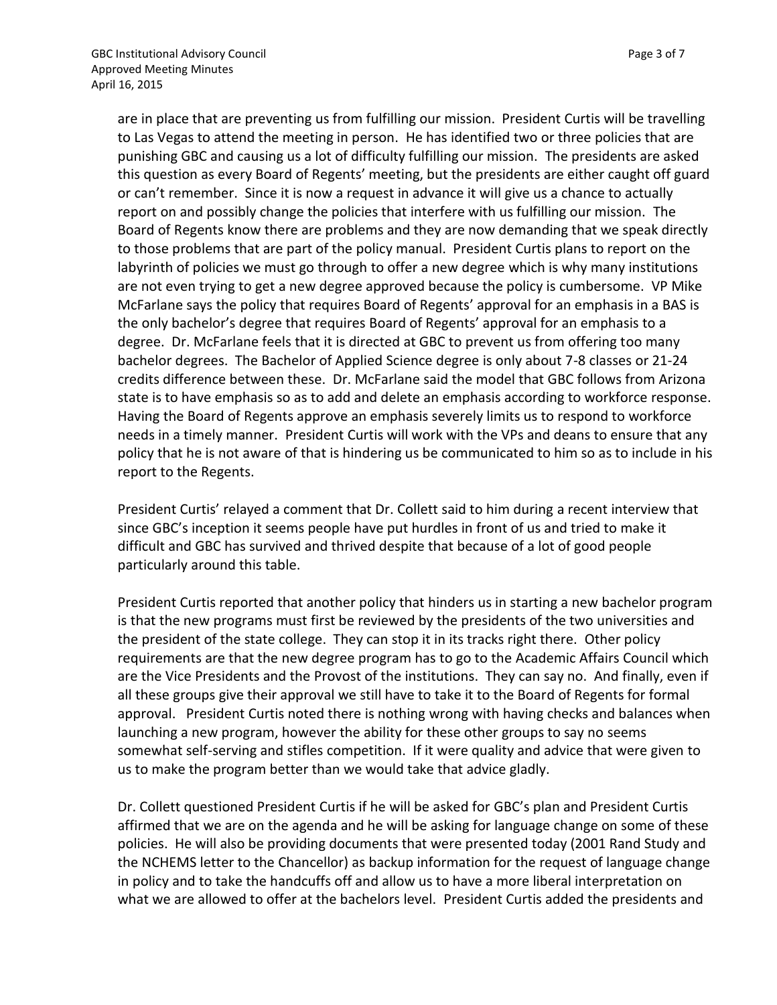are in place that are preventing us from fulfilling our mission. President Curtis will be travelling to Las Vegas to attend the meeting in person. He has identified two or three policies that are punishing GBC and causing us a lot of difficulty fulfilling our mission. The presidents are asked this question as every Board of Regents' meeting, but the presidents are either caught off guard or can't remember. Since it is now a request in advance it will give us a chance to actually report on and possibly change the policies that interfere with us fulfilling our mission. The Board of Regents know there are problems and they are now demanding that we speak directly to those problems that are part of the policy manual. President Curtis plans to report on the labyrinth of policies we must go through to offer a new degree which is why many institutions are not even trying to get a new degree approved because the policy is cumbersome. VP Mike McFarlane says the policy that requires Board of Regents' approval for an emphasis in a BAS is the only bachelor's degree that requires Board of Regents' approval for an emphasis to a degree. Dr. McFarlane feels that it is directed at GBC to prevent us from offering too many bachelor degrees. The Bachelor of Applied Science degree is only about 7-8 classes or 21-24 credits difference between these. Dr. McFarlane said the model that GBC follows from Arizona state is to have emphasis so as to add and delete an emphasis according to workforce response. Having the Board of Regents approve an emphasis severely limits us to respond to workforce needs in a timely manner. President Curtis will work with the VPs and deans to ensure that any policy that he is not aware of that is hindering us be communicated to him so as to include in his report to the Regents.

President Curtis' relayed a comment that Dr. Collett said to him during a recent interview that since GBC's inception it seems people have put hurdles in front of us and tried to make it difficult and GBC has survived and thrived despite that because of a lot of good people particularly around this table.

President Curtis reported that another policy that hinders us in starting a new bachelor program is that the new programs must first be reviewed by the presidents of the two universities and the president of the state college. They can stop it in its tracks right there. Other policy requirements are that the new degree program has to go to the Academic Affairs Council which are the Vice Presidents and the Provost of the institutions. They can say no. And finally, even if all these groups give their approval we still have to take it to the Board of Regents for formal approval. President Curtis noted there is nothing wrong with having checks and balances when launching a new program, however the ability for these other groups to say no seems somewhat self-serving and stifles competition. If it were quality and advice that were given to us to make the program better than we would take that advice gladly.

Dr. Collett questioned President Curtis if he will be asked for GBC's plan and President Curtis affirmed that we are on the agenda and he will be asking for language change on some of these policies. He will also be providing documents that were presented today (2001 Rand Study and the NCHEMS letter to the Chancellor) as backup information for the request of language change in policy and to take the handcuffs off and allow us to have a more liberal interpretation on what we are allowed to offer at the bachelors level. President Curtis added the presidents and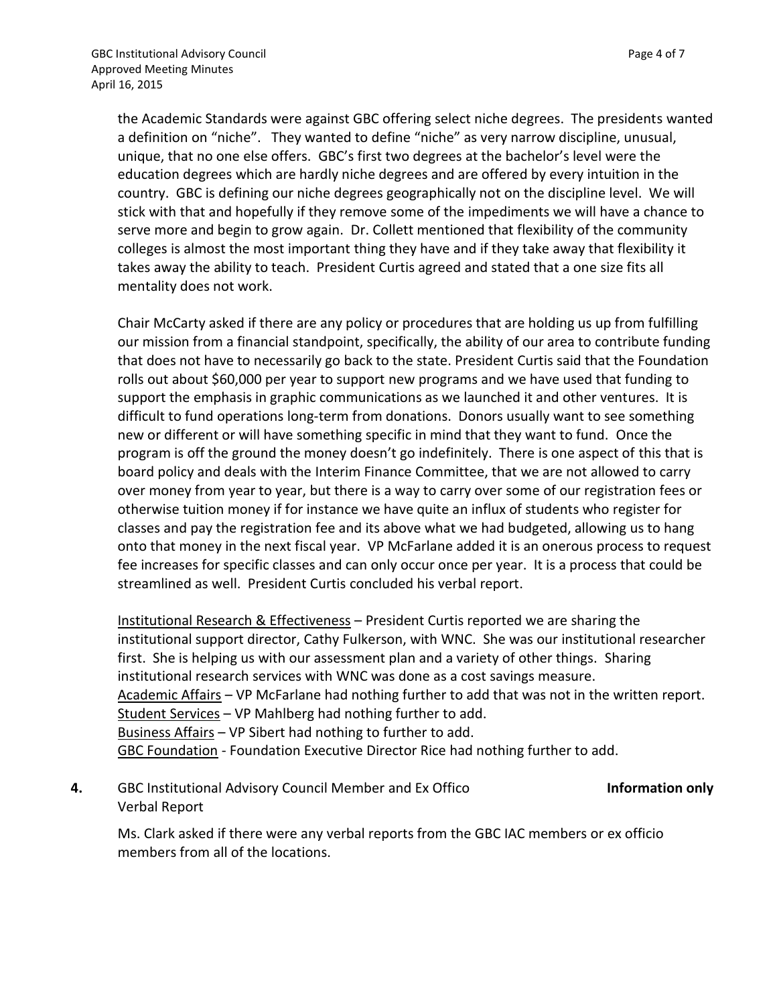the Academic Standards were against GBC offering select niche degrees. The presidents wanted a definition on "niche". They wanted to define "niche" as very narrow discipline, unusual, unique, that no one else offers. GBC's first two degrees at the bachelor's level were the education degrees which are hardly niche degrees and are offered by every intuition in the country. GBC is defining our niche degrees geographically not on the discipline level. We will stick with that and hopefully if they remove some of the impediments we will have a chance to serve more and begin to grow again. Dr. Collett mentioned that flexibility of the community colleges is almost the most important thing they have and if they take away that flexibility it takes away the ability to teach. President Curtis agreed and stated that a one size fits all mentality does not work.

Chair McCarty asked if there are any policy or procedures that are holding us up from fulfilling our mission from a financial standpoint, specifically, the ability of our area to contribute funding that does not have to necessarily go back to the state. President Curtis said that the Foundation rolls out about \$60,000 per year to support new programs and we have used that funding to support the emphasis in graphic communications as we launched it and other ventures. It is difficult to fund operations long-term from donations. Donors usually want to see something new or different or will have something specific in mind that they want to fund. Once the program is off the ground the money doesn't go indefinitely. There is one aspect of this that is board policy and deals with the Interim Finance Committee, that we are not allowed to carry over money from year to year, but there is a way to carry over some of our registration fees or otherwise tuition money if for instance we have quite an influx of students who register for classes and pay the registration fee and its above what we had budgeted, allowing us to hang onto that money in the next fiscal year. VP McFarlane added it is an onerous process to request fee increases for specific classes and can only occur once per year. It is a process that could be streamlined as well. President Curtis concluded his verbal report.

Institutional Research & Effectiveness – President Curtis reported we are sharing the institutional support director, Cathy Fulkerson, with WNC. She was our institutional researcher first. She is helping us with our assessment plan and a variety of other things. Sharing institutional research services with WNC was done as a cost savings measure. Academic Affairs – VP McFarlane had nothing further to add that was not in the written report. Student Services – VP Mahlberg had nothing further to add. Business Affairs – VP Sibert had nothing to further to add. GBC Foundation - Foundation Executive Director Rice had nothing further to add.

**4.** GBC Institutional Advisory Council Member and Ex Offico Verbal Report **Information only**

Ms. Clark asked if there were any verbal reports from the GBC IAC members or ex officio members from all of the locations.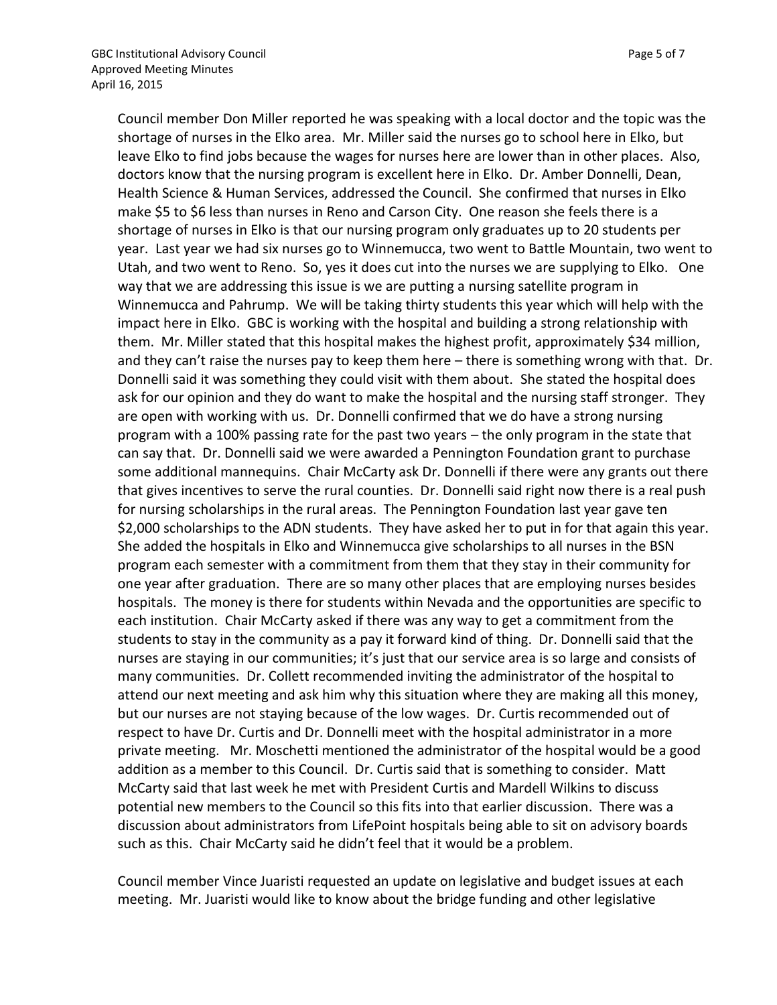Council member Don Miller reported he was speaking with a local doctor and the topic was the shortage of nurses in the Elko area. Mr. Miller said the nurses go to school here in Elko, but leave Elko to find jobs because the wages for nurses here are lower than in other places. Also, doctors know that the nursing program is excellent here in Elko. Dr. Amber Donnelli, Dean, Health Science & Human Services, addressed the Council. She confirmed that nurses in Elko make \$5 to \$6 less than nurses in Reno and Carson City. One reason she feels there is a shortage of nurses in Elko is that our nursing program only graduates up to 20 students per year. Last year we had six nurses go to Winnemucca, two went to Battle Mountain, two went to Utah, and two went to Reno. So, yes it does cut into the nurses we are supplying to Elko. One way that we are addressing this issue is we are putting a nursing satellite program in Winnemucca and Pahrump. We will be taking thirty students this year which will help with the impact here in Elko. GBC is working with the hospital and building a strong relationship with them. Mr. Miller stated that this hospital makes the highest profit, approximately \$34 million, and they can't raise the nurses pay to keep them here – there is something wrong with that. Dr. Donnelli said it was something they could visit with them about. She stated the hospital does ask for our opinion and they do want to make the hospital and the nursing staff stronger. They are open with working with us. Dr. Donnelli confirmed that we do have a strong nursing program with a 100% passing rate for the past two years – the only program in the state that can say that. Dr. Donnelli said we were awarded a Pennington Foundation grant to purchase some additional mannequins. Chair McCarty ask Dr. Donnelli if there were any grants out there that gives incentives to serve the rural counties. Dr. Donnelli said right now there is a real push for nursing scholarships in the rural areas. The Pennington Foundation last year gave ten \$2,000 scholarships to the ADN students. They have asked her to put in for that again this year. She added the hospitals in Elko and Winnemucca give scholarships to all nurses in the BSN program each semester with a commitment from them that they stay in their community for one year after graduation. There are so many other places that are employing nurses besides hospitals. The money is there for students within Nevada and the opportunities are specific to each institution. Chair McCarty asked if there was any way to get a commitment from the students to stay in the community as a pay it forward kind of thing. Dr. Donnelli said that the nurses are staying in our communities; it's just that our service area is so large and consists of many communities. Dr. Collett recommended inviting the administrator of the hospital to attend our next meeting and ask him why this situation where they are making all this money, but our nurses are not staying because of the low wages. Dr. Curtis recommended out of respect to have Dr. Curtis and Dr. Donnelli meet with the hospital administrator in a more private meeting. Mr. Moschetti mentioned the administrator of the hospital would be a good addition as a member to this Council. Dr. Curtis said that is something to consider. Matt McCarty said that last week he met with President Curtis and Mardell Wilkins to discuss potential new members to the Council so this fits into that earlier discussion. There was a discussion about administrators from LifePoint hospitals being able to sit on advisory boards such as this. Chair McCarty said he didn't feel that it would be a problem.

Council member Vince Juaristi requested an update on legislative and budget issues at each meeting. Mr. Juaristi would like to know about the bridge funding and other legislative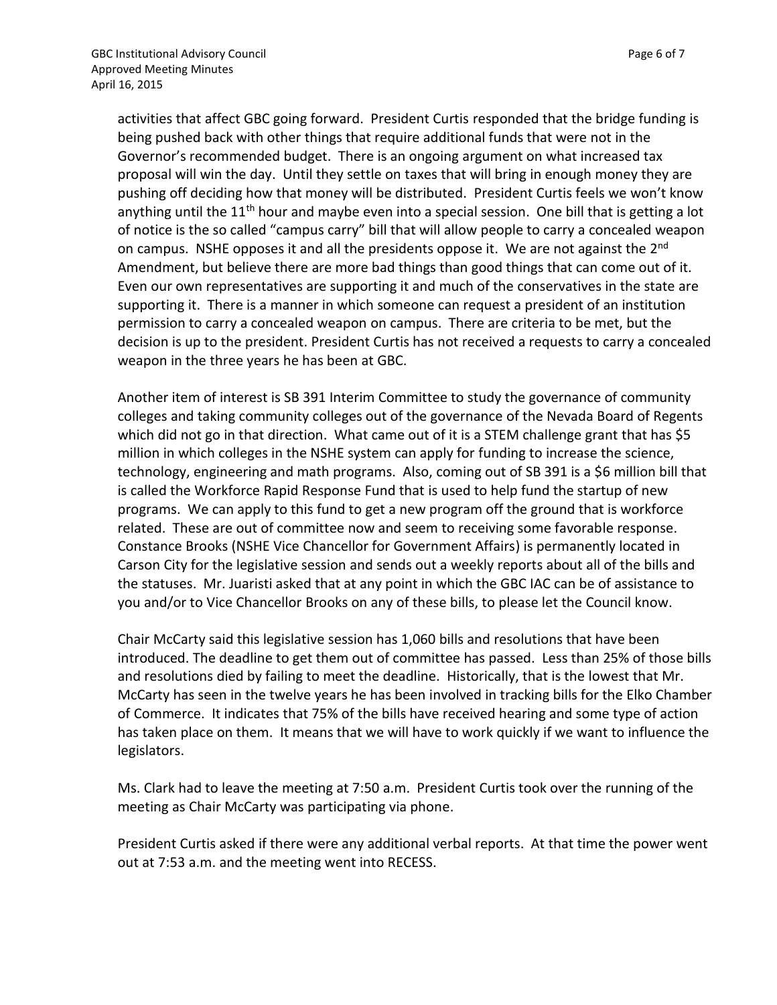activities that affect GBC going forward. President Curtis responded that the bridge funding is being pushed back with other things that require additional funds that were not in the Governor's recommended budget. There is an ongoing argument on what increased tax proposal will win the day. Until they settle on taxes that will bring in enough money they are pushing off deciding how that money will be distributed. President Curtis feels we won't know anything until the 11<sup>th</sup> hour and maybe even into a special session. One bill that is getting a lot of notice is the so called "campus carry" bill that will allow people to carry a concealed weapon on campus. NSHE opposes it and all the presidents oppose it. We are not against the 2<sup>nd</sup> Amendment, but believe there are more bad things than good things that can come out of it. Even our own representatives are supporting it and much of the conservatives in the state are supporting it. There is a manner in which someone can request a president of an institution permission to carry a concealed weapon on campus. There are criteria to be met, but the decision is up to the president. President Curtis has not received a requests to carry a concealed weapon in the three years he has been at GBC.

Another item of interest is SB 391 Interim Committee to study the governance of community colleges and taking community colleges out of the governance of the Nevada Board of Regents which did not go in that direction. What came out of it is a STEM challenge grant that has \$5 million in which colleges in the NSHE system can apply for funding to increase the science, technology, engineering and math programs. Also, coming out of SB 391 is a \$6 million bill that is called the Workforce Rapid Response Fund that is used to help fund the startup of new programs. We can apply to this fund to get a new program off the ground that is workforce related. These are out of committee now and seem to receiving some favorable response. Constance Brooks (NSHE Vice Chancellor for Government Affairs) is permanently located in Carson City for the legislative session and sends out a weekly reports about all of the bills and the statuses. Mr. Juaristi asked that at any point in which the GBC IAC can be of assistance to you and/or to Vice Chancellor Brooks on any of these bills, to please let the Council know.

Chair McCarty said this legislative session has 1,060 bills and resolutions that have been introduced. The deadline to get them out of committee has passed. Less than 25% of those bills and resolutions died by failing to meet the deadline. Historically, that is the lowest that Mr. McCarty has seen in the twelve years he has been involved in tracking bills for the Elko Chamber of Commerce. It indicates that 75% of the bills have received hearing and some type of action has taken place on them. It means that we will have to work quickly if we want to influence the legislators.

Ms. Clark had to leave the meeting at 7:50 a.m. President Curtis took over the running of the meeting as Chair McCarty was participating via phone.

President Curtis asked if there were any additional verbal reports. At that time the power went out at 7:53 a.m. and the meeting went into RECESS.